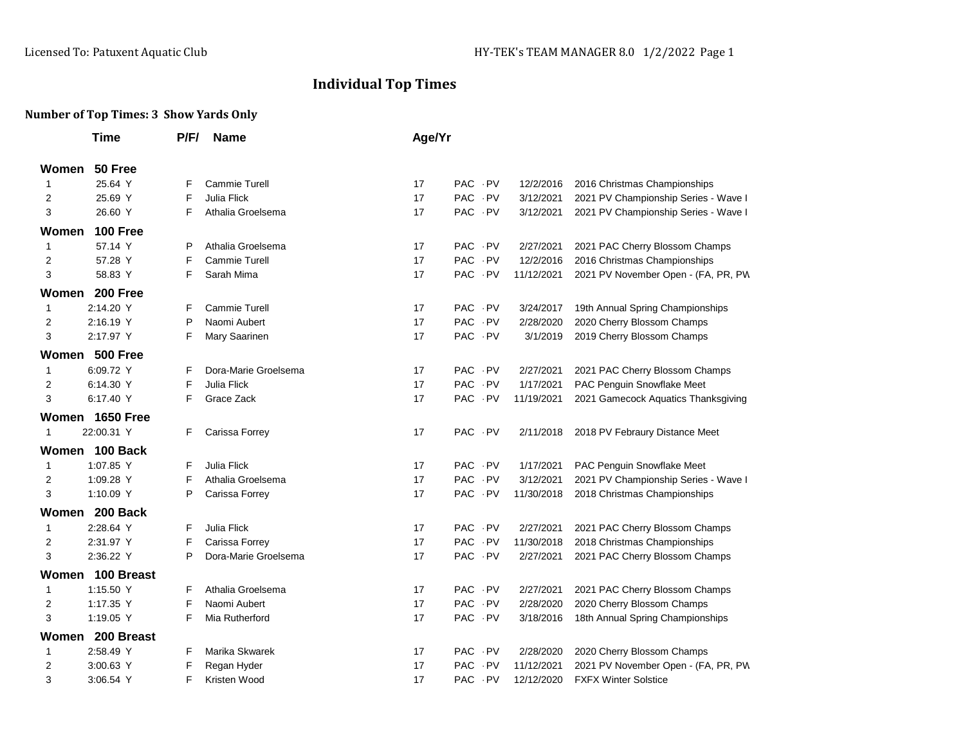## **Individual Top Times**

## **Number of Top Times: 3 Show Yards Only**

|                     | <b>Time</b>      | P/F/ | <b>Name</b>          | Age/Yr |        |            |                                      |  |  |
|---------------------|------------------|------|----------------------|--------|--------|------------|--------------------------------------|--|--|
| Women               | 50 Free          |      |                      |        |        |            |                                      |  |  |
| $\mathbf{1}$        | 25.64 Y          | F    | Cammie Turell        | 17     | PAC PV | 12/2/2016  | 2016 Christmas Championships         |  |  |
| 2                   | 25.69 Y          | F    | Julia Flick          | 17     | PAC PV | 3/12/2021  | 2021 PV Championship Series - Wave I |  |  |
| 3                   | 26.60 Y          | F    | Athalia Groelsema    | 17     | PAC PV | 3/12/2021  | 2021 PV Championship Series - Wave I |  |  |
| Women               | 100 Free         |      |                      |        |        |            |                                      |  |  |
| $\mathbf{1}$        | 57.14 Y          | P    | Athalia Groelsema    | 17     | PAC PV | 2/27/2021  | 2021 PAC Cherry Blossom Champs       |  |  |
| 2                   | 57.28 Y          | F    | Cammie Turell        | 17     | PAC PV | 12/2/2016  | 2016 Christmas Championships         |  |  |
| 3                   | 58.83 Y          | F    | Sarah Mima           | 17     | PAC PV | 11/12/2021 | 2021 PV November Open - (FA, PR, PW  |  |  |
| 200 Free<br>Women   |                  |      |                      |        |        |            |                                      |  |  |
| $\mathbf{1}$        | 2:14.20 Y        | F    | Cammie Turell        | 17     | PAC PV | 3/24/2017  | 19th Annual Spring Championships     |  |  |
| $\overline{2}$      | 2:16.19 Y        | P    | Naomi Aubert         | 17     | PAC PV | 2/28/2020  | 2020 Cherry Blossom Champs           |  |  |
| 3                   | 2:17.97 Y        | F    | Mary Saarinen        | 17     | PAC PV | 3/1/2019   | 2019 Cherry Blossom Champs           |  |  |
|                     | Women 500 Free   |      |                      |        |        |            |                                      |  |  |
| $\mathbf{1}$        | 6:09.72 Y        | F    | Dora-Marie Groelsema | 17     | PAC PV | 2/27/2021  | 2021 PAC Cherry Blossom Champs       |  |  |
| 2                   | 6:14.30 Y        | F    | Julia Flick          | 17     | PAC PV | 1/17/2021  | PAC Penguin Snowflake Meet           |  |  |
| 3                   | 6:17.40 Y        | F    | Grace Zack           | 17     | PAC PV | 11/19/2021 | 2021 Gamecock Aquatics Thanksgiving  |  |  |
| Women 1650 Free     |                  |      |                      |        |        |            |                                      |  |  |
| $\mathbf{1}$        | 22:00.31 Y       | F    | Carissa Forrey       | 17     | PAC PV | 2/11/2018  | 2018 PV Febraury Distance Meet       |  |  |
|                     | Women 100 Back   |      |                      |        |        |            |                                      |  |  |
| $\mathbf{1}$        | 1:07.85 Y        | F    | Julia Flick          | 17     | PAC PV | 1/17/2021  | PAC Penguin Snowflake Meet           |  |  |
| $\overline{2}$      | 1:09.28 Y        | F    | Athalia Groelsema    | 17     | PAC PV | 3/12/2021  | 2021 PV Championship Series - Wave I |  |  |
| 3                   | 1:10.09 Y        | P    | Carissa Forrey       | 17     | PAC PV | 11/30/2018 | 2018 Christmas Championships         |  |  |
|                     | Women 200 Back   |      |                      |        |        |            |                                      |  |  |
| $\mathbf{1}$        | 2:28.64 Y        | F    | Julia Flick          | 17     | PAC PV | 2/27/2021  | 2021 PAC Cherry Blossom Champs       |  |  |
| $\overline{2}$      | 2:31.97 Y        | F    | Carissa Forrey       | 17     | PAC PV | 11/30/2018 | 2018 Christmas Championships         |  |  |
| 3                   | 2:36.22 Y        | P    | Dora-Marie Groelsema | 17     | PAC PV | 2/27/2021  | 2021 PAC Cherry Blossom Champs       |  |  |
|                     | Women 100 Breast |      |                      |        |        |            |                                      |  |  |
| $\mathbf{1}$        | 1:15.50 Y        | F    | Athalia Groelsema    | 17     | PAC PV | 2/27/2021  | 2021 PAC Cherry Blossom Champs       |  |  |
| $\overline{2}$      | 1:17.35 Y        | F    | Naomi Aubert         | 17     | PAC PV | 2/28/2020  | 2020 Cherry Blossom Champs           |  |  |
| 3                   | 1:19.05 Y        | F    | Mia Rutherford       | 17     | PAC PV | 3/18/2016  | 18th Annual Spring Championships     |  |  |
| 200 Breast<br>Women |                  |      |                      |        |        |            |                                      |  |  |
| $\mathbf{1}$        | 2:58.49 Y        | F    | Marika Skwarek       | 17     | PAC PV | 2/28/2020  | 2020 Cherry Blossom Champs           |  |  |
| 2                   | 3:00.63 Y        | F    | Regan Hyder          | 17     | PAC PV | 11/12/2021 | 2021 PV November Open - (FA, PR, PW  |  |  |
| 3                   | 3:06.54 Y        | F    | Kristen Wood         | 17     | PAC PV | 12/12/2020 | <b>FXFX Winter Solstice</b>          |  |  |